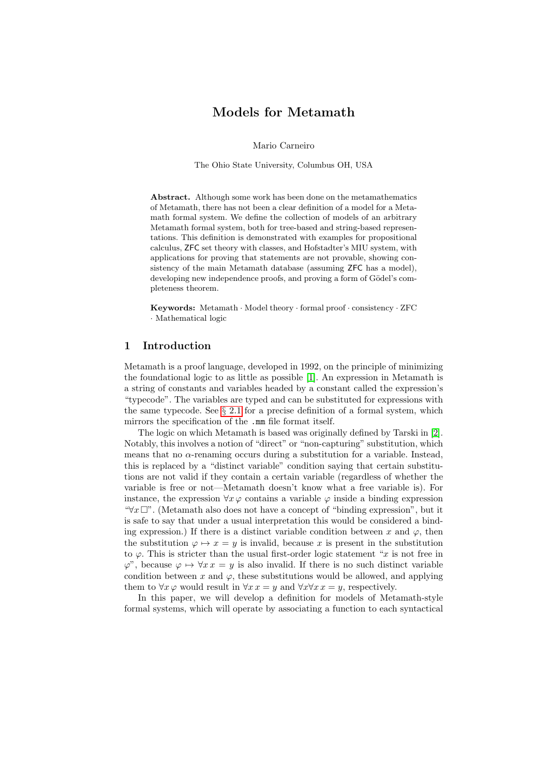# Models for Metamath

Mario Carneiro

The Ohio State University, Columbus OH, USA

Abstract. Although some work has been done on the metamathematics of Metamath, there has not been a clear definition of a model for a Metamath formal system. We define the collection of models of an arbitrary Metamath formal system, both for tree-based and string-based representations. This definition is demonstrated with examples for propositional calculus, ZFC set theory with classes, and Hofstadter's MIU system, with applications for proving that statements are not provable, showing consistency of the main Metamath database (assuming ZFC has a model), developing new independence proofs, and proving a form of Gödel's completeness theorem.

Keywords: Metamath · Model theory · formal proof · consistency · ZFC · Mathematical logic

### 1 Introduction

Metamath is a proof language, developed in 1992, on the principle of minimizing the foundational logic to as little as possible [\[1\]](#page-16-0). An expression in Metamath is a string of constants and variables headed by a constant called the expression's "typecode". The variables are typed and can be substituted for expressions with the same typecode. See  $\S 2.1$  $\S 2.1$  for a precise definition of a formal system, which mirrors the specification of the .mm file format itself.

The logic on which Metamath is based was originally defined by Tarski in [\[2\]](#page-16-1). Notably, this involves a notion of "direct" or "non-capturing" substitution, which means that no  $\alpha$ -renaming occurs during a substitution for a variable. Instead, this is replaced by a "distinct variable" condition saying that certain substitutions are not valid if they contain a certain variable (regardless of whether the variable is free or not—Metamath doesn't know what a free variable is). For instance, the expression  $\forall x \varphi$  contains a variable  $\varphi$  inside a binding expression " $\forall x \Box$ ". (Metamath also does not have a concept of "binding expression", but it is safe to say that under a usual interpretation this would be considered a binding expression.) If there is a distinct variable condition between x and  $\varphi$ , then the substitution  $\varphi \mapsto x = y$  is invalid, because x is present in the substitution to  $\varphi$ . This is stricter than the usual first-order logic statement "x is not free in  $\varphi$ ", because  $\varphi \mapsto \forall x \, x = y$  is also invalid. If there is no such distinct variable condition between x and  $\varphi$ , these substitutions would be allowed, and applying them to  $\forall x \varphi$  would result in  $\forall x \, x = y$  and  $\forall x \forall x \, x = y$ , respectively.

In this paper, we will develop a definition for models of Metamath-style formal systems, which will operate by associating a function to each syntactical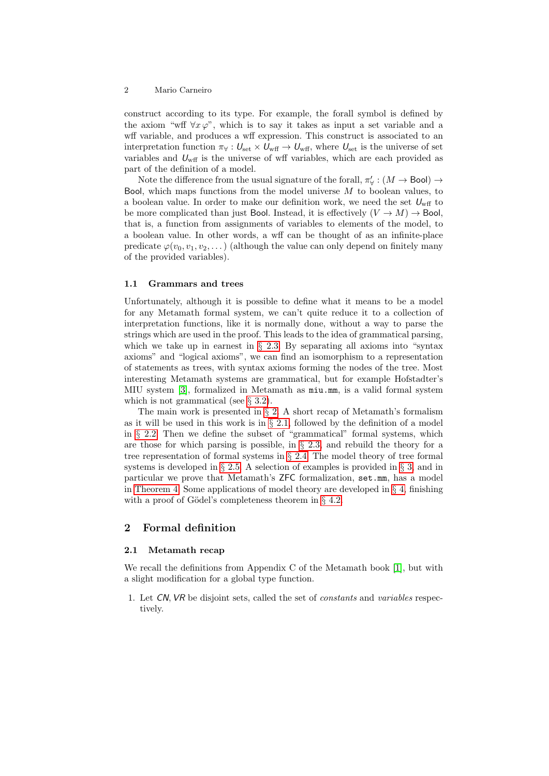construct according to its type. For example, the forall symbol is defined by the axiom "wff  $\forall x \varphi$ ", which is to say it takes as input a set variable and a wff variable, and produces a wff expression. This construct is associated to an interpretation function  $\pi_{\forall}: U_{\text{set}} \times U_{\text{wff}} \to U_{\text{wff}}$ , where  $U_{\text{set}}$  is the universe of set variables and  $U_{\text{wff}}$  is the universe of wff variables, which are each provided as part of the definition of a model.

Note the difference from the usual signature of the forall,  $\pi'_{\forall} : (M \to \mathsf{Bool}) \to$ Bool, which maps functions from the model universe  $M$  to boolean values, to a boolean value. In order to make our definition work, we need the set  $U_{\text{wff}}$  to be more complicated than just Bool. Instead, it is effectively  $(V \to M) \to$  Bool, that is, a function from assignments of variables to elements of the model, to a boolean value. In other words, a wff can be thought of as an infinite-place predicate  $\varphi(v_0, v_1, v_2, \dots)$  (although the value can only depend on finitely many of the provided variables).

#### 1.1 Grammars and trees

Unfortunately, although it is possible to define what it means to be a model for any Metamath formal system, we can't quite reduce it to a collection of interpretation functions, like it is normally done, without a way to parse the strings which are used in the proof. This leads to the idea of grammatical parsing, which we take up in earnest in  $\S$  [2.3.](#page-4-0) By separating all axioms into "syntax" axioms" and "logical axioms", we can find an isomorphism to a representation of statements as trees, with syntax axioms forming the nodes of the tree. Most interesting Metamath systems are grammatical, but for example Hofstadter's MIU system [\[3\]](#page-16-2), formalized in Metamath as miu.mm, is a valid formal system which is not grammatical (see  $\S$  [3.2\)](#page-9-0).

The main work is presented in  $\S 2$ . A short recap of Metamath's formalism as it will be used in this work is in  $\S 2.1$ , followed by the definition of a model in § [2.2.](#page-3-0) Then we define the subset of "grammatical" formal systems, which are those for which parsing is possible, in § [2.3,](#page-4-0) and rebuild the theory for a tree representation of formal systems in § [2.4.](#page-5-0) The model theory of tree formal systems is developed in  $\S 2.5$ . A selection of examples is provided in  $\S 3$ , and in particular we prove that Metamath's ZFC formalization, set.mm, has a model in [Theorem 4.](#page-12-0) Some applications of model theory are developed in  $\S 4$ , finishing with a proof of Gödel's completeness theorem in  $\S$  [4.2.](#page-15-0)

### <span id="page-1-1"></span>2 Formal definition

### <span id="page-1-0"></span>2.1 Metamath recap

We recall the definitions from Appendix C of the Metamath book [\[1\]](#page-16-0), but with a slight modification for a global type function.

1. Let CN, VR be disjoint sets, called the set of constants and variables respectively.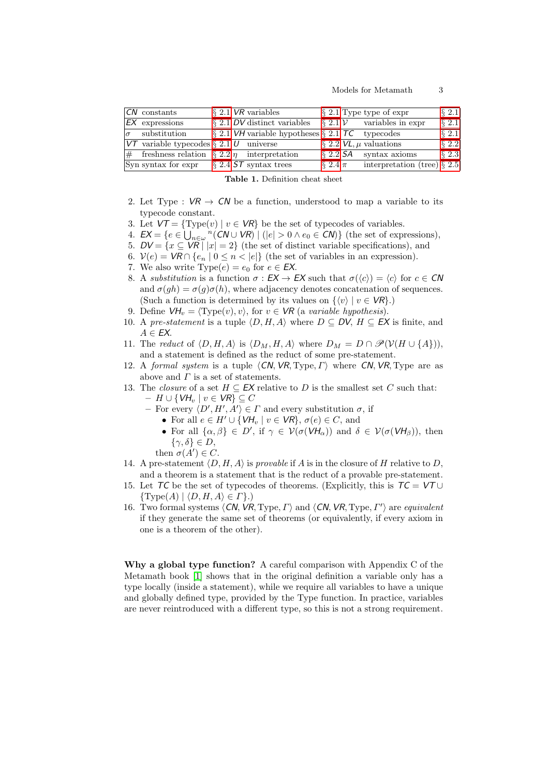| CN constants                                           |  | $\{2.1\}$ VR variables                                                  |              | $\S 2.1$ Type type of expr             | $\S$ 2.1 |
|--------------------------------------------------------|--|-------------------------------------------------------------------------|--------------|----------------------------------------|----------|
| $EX$ expressions                                       |  | $\S 2.1$ DV distinct variables                                          |              | $\S 2.1 \mathcal{V}$ variables in expr | $\S$ 2.1 |
| $\sigma$ substitution                                  |  | $\frac{1}{2}$ 2.1 VH variable hypotheses $\frac{1}{2}$ 2.1 TC typecodes |              |                                        | $\S$ 2.1 |
| $V\tau$ variable typecodes § 2.1 $U$ universe          |  |                                                                         |              | $\S 2.2$ $VL$ , $\mu$ valuations       | $\S$ 2.2 |
| $\#$ freshness relation § 2.2  <i>n</i> interpretation |  |                                                                         |              | $\S 2.2$ SA syntax axioms              | $\S$ 2.3 |
| Syn syntax for expr $\S 2.4$ ST syntax trees           |  |                                                                         | $\S 2.4 \pi$ | interpretation (tree) $\S 2.5$         |          |

Table 1. Definition cheat sheet

- 2. Let Type :  $VR \rightarrow CN$  be a function, understood to map a variable to its typecode constant.
- 3. Let  $VT = \{Type(v) | v \in VR\}$  be the set of typecodes of variables.
- 4.  $EX = \{e \in \bigcup_{n \in \omega} \binom{n}{n} \cup VR \mid (|e| > 0 \land e_0 \in CN)\}$  (the set of expressions),
- 5.  $DV = \{x \subseteq VR \mid |x| = 2\}$  (the set of distinct variable specifications), and
- 6.  $V(e) = VR \cap \{e_n \mid 0 \le n < |e|\}$  (the set of variables in an expression).
- 7. We also write  $Type(e) = e_0$  for  $e \in EX$ .
- <span id="page-2-1"></span>8. A substitution is a function  $\sigma : EX \to EX$  such that  $\sigma(\langle c \rangle) = \langle c \rangle$  for  $c \in CN$ and  $\sigma(qh) = \sigma(q)\sigma(h)$ , where adjacency denotes concatenation of sequences. (Such a function is determined by its values on  $\{\langle v \rangle | v \in \mathcal{VR}\}\.$ )
- 9. Define  $VH_v = \langle \text{Type}(v), v \rangle$ , for  $v \in \text{VR}$  (a variable hypothesis).
- 10. A pre-statement is a tuple  $\langle D, H, A \rangle$  where  $D \subseteq DV$ ,  $H \subseteq EX$  is finite, and  $A \in EX$ .
- 11. The reduct of  $\langle D, H, A \rangle$  is  $\langle D_M, H, A \rangle$  where  $D_M = D \cap \mathscr{P}(\mathcal{V}(H \cup \{A\})),$ and a statement is defined as the reduct of some pre-statement.
- 12. A formal system is a tuple  $\langle CN, VR, Type, I \rangle$  where CN, VR, Type are as above and  $\Gamma$  is a set of statements.
- <span id="page-2-0"></span>13. The *closure* of a set  $H \subseteq EX$  relative to D is the smallest set C such that:  $- H \cup \{V\}\cup\{V\}\cup\{V\}\subseteq C$ 
	- For every  $\langle D', H', A'\rangle \in \Gamma$  and every substitution  $\sigma$ , if
		- For all  $e \in H' \cup \{VH_v \mid v \in VR\}, \sigma(e) \in C$ , and
		- For all  $\{\alpha,\beta\} \in D'$ , if  $\gamma \in \mathcal{V}(\sigma(\mathcal{V}H_\alpha))$  and  $\delta \in \mathcal{V}(\sigma(\mathcal{V}H_\beta))$ , then  $\{\gamma,\delta\}\in D,$

then  $\sigma(A') \in C$ .

- 14. A pre-statement  $\langle D, H, A \rangle$  is provable if A is in the closure of H relative to D, and a theorem is a statement that is the reduct of a provable pre-statement.
- 15. Let TC be the set of typecodes of theorems. (Explicitly, this is  $TC = VT \cup$  $\{Type(A) | \langle D, H, A \rangle \in \Gamma\}.$
- 16. Two formal systems  $\langle CN, VR, Type, \Gamma \rangle$  and  $\langle CN, VR, Type, \Gamma' \rangle$  are equivalent if they generate the same set of theorems (or equivalently, if every axiom in one is a theorem of the other).

Why a global type function? A careful comparison with Appendix C of the Metamath book [\[1\]](#page-16-0) shows that in the original definition a variable only has a type locally (inside a statement), while we require all variables to have a unique and globally defined type, provided by the Type function. In practice, variables are never reintroduced with a different type, so this is not a strong requirement.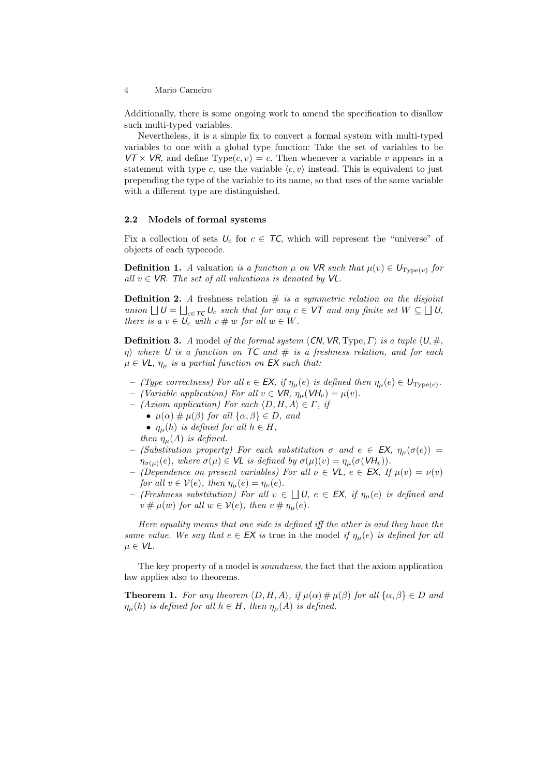Additionally, there is some ongoing work to amend the specification to disallow such multi-typed variables.

Nevertheless, it is a simple fix to convert a formal system with multi-typed variables to one with a global type function: Take the set of variables to be  $VT \times VR$ , and define Type $(c, v) = c$ . Then whenever a variable v appears in a statement with type c, use the variable  $\langle c, v \rangle$  instead. This is equivalent to just prepending the type of the variable to its name, so that uses of the same variable with a different type are distinguished.

### <span id="page-3-0"></span>2.2 Models of formal systems

Fix a collection of sets  $U_c$  for  $c \in \mathcal{TC}$ , which will represent the "universe" of objects of each typecode.

**Definition 1.** A valuation is a function  $\mu$  on VR such that  $\mu(v) \in U_{Type(v)}$  for all  $v \in \mathsf{VR}$ . The set of all valuations is denoted by  $\mathsf{VL}$ .

**Definition 2.** A freshness relation  $\#$  is a symmetric relation on the disjoint union  $\bigcup U = \bigcup_{c \in \mathcal{TC}} U_c$  such that for any  $c \in \mathsf{VT}$  and any finite set  $W \subseteq \bigcup U$ , there is a  $v \in U_c$  with  $v \# w$  for all  $w \in W$ .

<span id="page-3-1"></span>**Definition 3.** A model of the formal system  $\langle CN, VR, Type, \Gamma \rangle$  is a tuple  $\langle U, \#, \Pi \rangle$  $\eta$ ) where U is a function on TC and  $\#$  is a freshness relation, and for each  $\mu \in \mathsf{VL}, \eta_\mu$  is a partial function on EX such that:

- (Type correctness) For all  $e \in \mathsf{EX}$ , if  $\eta_{\mu}(e)$  is defined then  $\eta_{\mu}(e) \in U_{\text{Type}(e)}$ .
- (Variable application) For all  $v \in VR$ ,  $\eta_{\mu}(VH_v) = \mu(v)$ .
- $-$  (Axiom application) For each  $\langle D, H, A \rangle \in \Gamma$ , if
	- $\mu(\alpha) \neq \mu(\beta)$  for all  $\{\alpha, \beta\} \in D$ , and
	- $\eta_{\mu}(h)$  is defined for all  $h \in H$ ,
	- then  $\eta_{\mu}(A)$  is defined.
- (Substitution property) For each substitution σ and  $e$  ∈ EX,  $η<sub>μ</sub>(σ(e))$  =  $\eta_{\sigma(\mu)}(e)$ , where  $\sigma(\mu) \in \mathsf{VL}$  is defined by  $\sigma(\mu)(v) = \eta_{\mu}(\sigma(\mathsf{V}H_v)).$
- (Dependence on present variables) For all  $\nu \in \mathsf{VL}$ ,  $e \in \mathsf{EX}$ , If  $\mu(v) = \nu(v)$ for all  $v \in V(e)$ , then  $\eta_{\mu}(e) = \eta_{\nu}(e)$ .
- $-$  (Freshness substitution) For all v ∈  $□$  U, e ∈ EX, if  $η<sub>μ</sub>(e)$  is defined and  $v \# \mu(w)$  for all  $w \in V(e)$ , then  $v \# \eta_\mu(e)$ .

Here equality means that one side is defined iff the other is and they have the same value. We say that  $e \in EX$  is true in the model if  $\eta_{\mu}(e)$  is defined for all  $\mu \in \mathsf{VL}.$ 

The key property of a model is soundness, the fact that the axiom application law applies also to theorems.

**Theorem 1.** For any theorem  $\langle D, H, A \rangle$ , if  $\mu(\alpha) \# \mu(\beta)$  for all  $\{\alpha, \beta\} \in D$  and  $\eta_{\mu}(h)$  is defined for all  $h \in H$ , then  $\eta_{\mu}(A)$  is defined.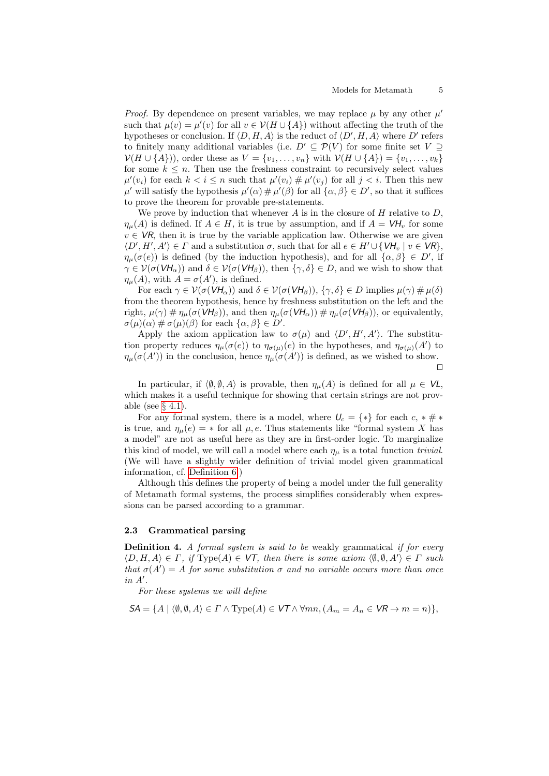*Proof.* By dependence on present variables, we may replace  $\mu$  by any other  $\mu'$ such that  $\mu(v) = \mu'(v)$  for all  $v \in \mathcal{V}(H \cup \{A\})$  without affecting the truth of the hypotheses or conclusion. If  $\langle D, H, A \rangle$  is the reduct of  $\langle D', H, A \rangle$  where  $D'$  refers to finitely many additional variables (i.e.  $D' \subseteq \mathcal{P}(V)$  for some finite set  $V \supseteq$  $V(H \cup \{A\}))$ , order these as  $V = \{v_1, ..., v_n\}$  with  $V(H \cup \{A\}) = \{v_1, ..., v_k\}$ for some  $k \leq n$ . Then use the freshness constraint to recursively select values  $\mu'(v_i)$  for each  $k < i \leq n$  such that  $\mu'(v_i) \# \mu'(v_j)$  for all  $j < i$ . Then this new  $\mu'$  will satisfy the hypothesis  $\mu'(\alpha) \neq \mu'(\beta)$  for all  $\{\alpha, \beta\} \in D'$ , so that it suffices to prove the theorem for provable pre-statements.

We prove by induction that whenever  $A$  is in the closure of  $H$  relative to  $D$ ,  $\eta_{\mu}(A)$  is defined. If  $A \in H$ , it is true by assumption, and if  $A = VH_{\nu}$  for some  $v \in VR$ , then it is true by the variable application law. Otherwise we are given  $\langle D', H', A' \rangle \in \Gamma$  and a substitution  $\sigma$ , such that for all  $e \in H' \cup \{VH_v \mid v \in VR\},$  $\eta_{\mu}(\sigma(e))$  is defined (by the induction hypothesis), and for all  $\{\alpha,\beta\} \in D'$ , if  $\gamma \in \mathcal{V}(\sigma(VH_{\alpha}))$  and  $\delta \in \mathcal{V}(\sigma(VH_{\beta}))$ , then  $\{\gamma, \delta\} \in D$ , and we wish to show that  $\eta_{\mu}(A)$ , with  $A = \sigma(A')$ , is defined.

For each  $\gamma \in \mathcal{V}(\sigma(VH_\alpha))$  and  $\delta \in \mathcal{V}(\sigma(VH_\beta)), \{\gamma, \delta\} \in D$  implies  $\mu(\gamma) \neq \mu(\delta)$ from the theorem hypothesis, hence by freshness substitution on the left and the right,  $\mu(\gamma) \text{# } \eta_{\mu}(\sigma(VH_{\beta}))$ , and then  $\eta_{\mu}(\sigma(VH_{\alpha})) \text{# } \eta_{\mu}(\sigma(VH_{\beta}))$ , or equivalently,  $\sigma(\mu)(\alpha) \# \sigma(\mu)(\beta)$  for each  $\{\alpha, \beta\} \in D'.$ 

Apply the axiom application law to  $\sigma(\mu)$  and  $\langle D', H', A' \rangle$ . The substitution property reduces  $\eta_\mu(\sigma(e))$  to  $\eta_{\sigma(\mu)}(e)$  in the hypotheses, and  $\eta_{\sigma(\mu)}(A')$  to  $\eta_{\mu}(\sigma(A'))$  in the conclusion, hence  $\eta_{\mu}(\sigma(A'))$  is defined, as we wished to show.  $\Box$ 

In particular, if  $\langle \emptyset, \emptyset, A \rangle$  is provable, then  $\eta_{\mu}(A)$  is defined for all  $\mu \in \mathsf{VL}$ , which makes it a useful technique for showing that certain strings are not provable (see  $\S$  [4.1\)](#page-14-1).

For any formal system, there is a model, where  $U_c = \{*\}$  for each  $c, * \# *$ is true, and  $\eta_{\mu}(e) = *$  for all  $\mu, e$ . Thus statements like "formal system X has a model" are not as useful here as they are in first-order logic. To marginalize this kind of model, we will call a model where each  $\eta_{\mu}$  is a total function *trivial*. (We will have a slightly wider definition of trivial model given grammatical information, cf. [Definition 6.](#page-5-1))

Although this defines the property of being a model under the full generality of Metamath formal systems, the process simplifies considerably when expressions can be parsed according to a grammar.

### <span id="page-4-0"></span>2.3 Grammatical parsing

**Definition 4.** A formal system is said to be weakly grammatical if for every  $\langle D, H, A \rangle \in \Gamma$ , if Type $(A) \in \mathcal{V}$ , then there is some axiom  $\langle \emptyset, \emptyset, A' \rangle \in \Gamma$  such that  $\sigma(A') = A$  for some substitution  $\sigma$  and no variable occurs more than once  $in A'.$ 

For these systems we will define

$$
\mathsf{SA} = \{ A \mid \langle \emptyset, \emptyset, A \rangle \in \Gamma \land \text{Type}(A) \in \mathsf{VT} \land \forall mn, (A_m = A_n \in \mathsf{VR} \rightarrow m = n) \},\
$$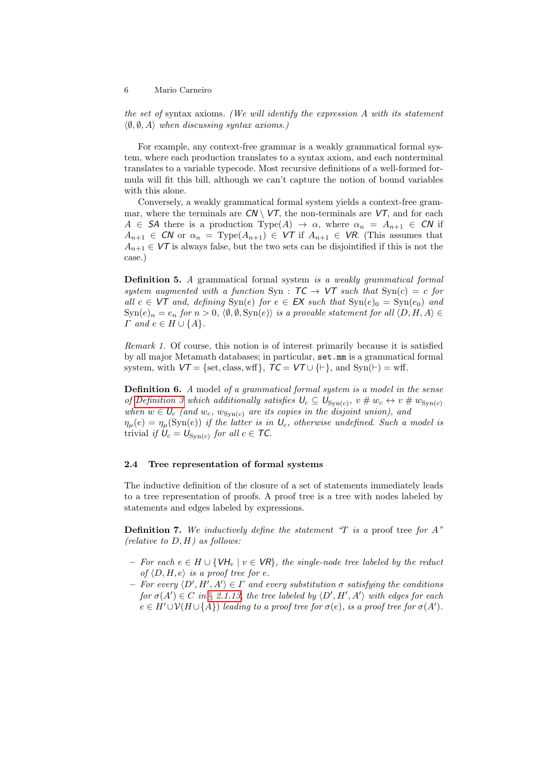the set of syntax axioms. (We will identify the expression A with its statement  $\langle \emptyset, \emptyset, A \rangle$  when discussing syntax axioms.)

For example, any context-free grammar is a weakly grammatical formal system, where each production translates to a syntax axiom, and each nonterminal translates to a variable typecode. Most recursive definitions of a well-formed formula will fit this bill, although we can't capture the notion of bound variables with this alone.

Conversely, a weakly grammatical formal system yields a context-free grammar, where the terminals are  $CN \setminus VT$ , the non-terminals are  $VT$ , and for each  $A \in \mathcal{S}A$  there is a production Type(A)  $\rightarrow \alpha$ , where  $\alpha_n = A_{n+1} \in \mathcal{CN}$  if  $A_{n+1} \in \mathbb{C}N$  or  $\alpha_n = \text{Type}(A_{n+1}) \in \mathsf{VT}$  if  $A_{n+1} \in \mathsf{VR}$ . (This assumes that  $A_{n+1} \in V\mathcal{T}$  is always false, but the two sets can be disjointified if this is not the case.)

Definition 5. A grammatical formal system is a weakly grammatical formal system augmented with a function Syn :  $TC \rightarrow VT$  such that  $Syn(c) = c$  for all  $c \in \nu\mathcal{T}$  and, defining  $\text{Syn}(e)$  for  $e \in \mathsf{EX}$  such that  $\text{Syn}(e)_0 = \text{Syn}(e_0)$  and  $\text{Syn}(e)_n = e_n$  for  $n > 0$ ,  $\langle \emptyset, \emptyset, \text{Syn}(e) \rangle$  is a provable statement for all  $\langle D, H, A \rangle \in$  $\Gamma$  and  $e \in H \cup \{A\}.$ 

Remark 1. Of course, this notion is of interest primarily because it is satisfied by all major Metamath databases; in particular, set.mm is a grammatical formal system, with  $VT = \{\text{set}, \text{class}, \text{wff}\}, \ \mathcal{TC} = VT \cup \{\vdash\}, \text{ and } \text{Syn}(\vdash) = \text{wff}.$ 

<span id="page-5-1"></span>**Definition 6.** A model of a grammatical formal system is a model in the sense of [Definition 3](#page-3-1) which additionally satisfies  $U_c \subseteq U_{\text{Syn}(c)}$ ,  $v \# w_c \leftrightarrow v \# w_{\text{Syn}(c)}$ when  $w \in U_c$  (and  $w_c$ ,  $w_{\text{Syn}(c)}$  are its copies in the disjoint union), and  $\eta_{\mu}(e) = \eta_{\mu}(\text{Syn}(e))$  if the latter is in  $U_c$ , otherwise undefined. Such a model is trivial if  $U_c = U_{\text{Syn}(c)}$  for all  $c \in \mathcal{TC}$ .

#### <span id="page-5-0"></span>2.4 Tree representation of formal systems

The inductive definition of the closure of a set of statements immediately leads to a tree representation of proofs. A proof tree is a tree with nodes labeled by statements and edges labeled by expressions.

**Definition 7.** We inductively define the statement "T is a proof tree for  $A$ " (relative to  $D, H$ ) as follows:

- For each  $e \in H \cup \{V\}_{v}$  |  $v \in VR\}$ , the single-node tree labeled by the reduct of  $\langle D, H, e \rangle$  is a proof tree for e.
- For every  $\langle D', H', A'\rangle \in \Gamma$  and every substitution  $\sigma$  satisfying the conditions for  $\sigma(A') \in C$  in § [2.1.13,](#page-2-0) the tree labeled by  $\langle D', H', A' \rangle$  with edges for each  $e \in H' \cup V(H \cup \{A\})$  leading to a proof tree for  $\sigma(e)$ , is a proof tree for  $\sigma(A')$ .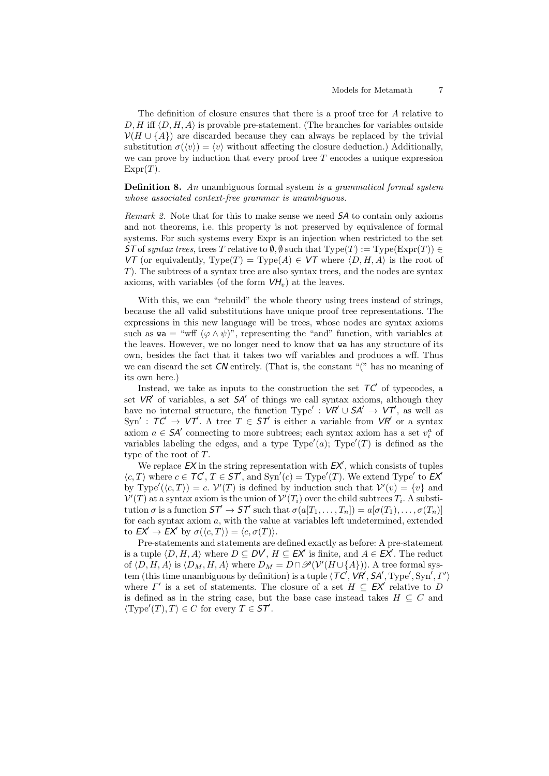The definition of closure ensures that there is a proof tree for A relative to  $D, H$  iff  $\langle D, H, A \rangle$  is provable pre-statement. (The branches for variables outside  $V(H \cup \{A\})$  are discarded because they can always be replaced by the trivial substitution  $\sigma(\langle v \rangle) = \langle v \rangle$  without affecting the closure deduction.) Additionally, we can prove by induction that every proof tree  $T$  encodes a unique expression  $\text{Expr}(T)$ .

**Definition 8.** An unambiguous formal system is a grammatical formal system whose associated context-free grammar is unambiguous.

Remark 2. Note that for this to make sense we need SA to contain only axioms and not theorems, i.e. this property is not preserved by equivalence of formal systems. For such systems every Expr is an injection when restricted to the set ST of syntax trees, trees T relative to  $\emptyset$ ,  $\emptyset$  such that Type(T) := Type(Expr(T))  $\in$ VT (or equivalently,  $Type(T) = Type(A) \in VT$  where  $\langle D, H, A \rangle$  is the root of T). The subtrees of a syntax tree are also syntax trees, and the nodes are syntax axioms, with variables (of the form  $VH_v$ ) at the leaves.

With this, we can "rebuild" the whole theory using trees instead of strings, because the all valid substitutions have unique proof tree representations. The expressions in this new language will be trees, whose nodes are syntax axioms such as  $\mathbf{w} = \mathbf{w} \cdot \mathbf{w}$  ( $\varphi \wedge \psi$ )", representing the "and" function, with variables at the leaves. However, we no longer need to know that wa has any structure of its own, besides the fact that it takes two wff variables and produces a wff. Thus we can discard the set  $\mathcal{CN}$  entirely. (That is, the constant "(" has no meaning of its own here.)

Instead, we take as inputs to the construction the set  $TC'$  of typecodes, a set  $VR'$  of variables, a set  $SA'$  of things we call syntax axioms, although they have no internal structure, the function Type':  $VR' \cup SA' \rightarrow VT'$ , as well as Syn':  $TC' \rightarrow VT'$ . A tree  $T \in ST'$  is either a variable from  $VR'$  or a syntax axiom  $a \in S A'$  connecting to more subtrees; each syntax axiom has a set  $v_i^a$  of variables labeling the edges, and a type  $Type'(a)$ ;  $Type'(T)$  is defined as the type of the root of T.

We replace  $EX$  in the string representation with  $EX'$ , which consists of tuples  $\langle c, T \rangle$  where  $c \in \mathcal{TC}, T \in \mathcal{ST}$ , and  $\text{Syn}'(c) = \text{Type}'(T)$ . We extend Type' to  $\mathcal{EX}'$ by Type'( $\langle c, T \rangle$ ) = c.  $V'(T)$  is defined by induction such that  $V'(v) = \{v\}$  and  $\mathcal{V}'(T)$  at a syntax axiom is the union of  $\mathcal{V}'(T_i)$  over the child subtrees  $T_i$ . A substitution  $\sigma$  is a function  $\mathsf{S}\mathcal{T}' \to \mathsf{S}\mathcal{T}'$  such that  $\sigma(a[T_1, \ldots, T_n]) = a[\sigma(T_1), \ldots, \sigma(T_n)]$ for each syntax axiom  $a$ , with the value at variables left undetermined, extended to  $E X' \to E X'$  by  $\sigma(\langle c, T \rangle) = \langle c, \sigma(T) \rangle$ .

Pre-statements and statements are defined exactly as before: A pre-statement is a tuple  $(D, H, A)$  where  $D \subseteq DV$ ,  $H \subseteq EX'$  is finite, and  $A \in EX'$ . The reduct of  $\langle D, H, A \rangle$  is  $\langle D_M, H, A \rangle$  where  $D_M = D \cap \mathscr{P}(\mathcal{V}'(H \cup \{A\}))$ . A tree formal system (this time unambiguous by definition) is a tuple  $\langle T\mathcal{C}, \nu\mathcal{R}', S\mathcal{A}', \text{Type}', \text{Syn}', \Gamma' \rangle$ where  $\Gamma'$  is a set of statements. The closure of a set  $H \subseteq EX'$  relative to D is defined as in the string case, but the base case instead takes  $H \subseteq C$  and  $\langle \text{Type}'(T), T \rangle \in C$  for every  $T \in \mathcal{ST}'$ .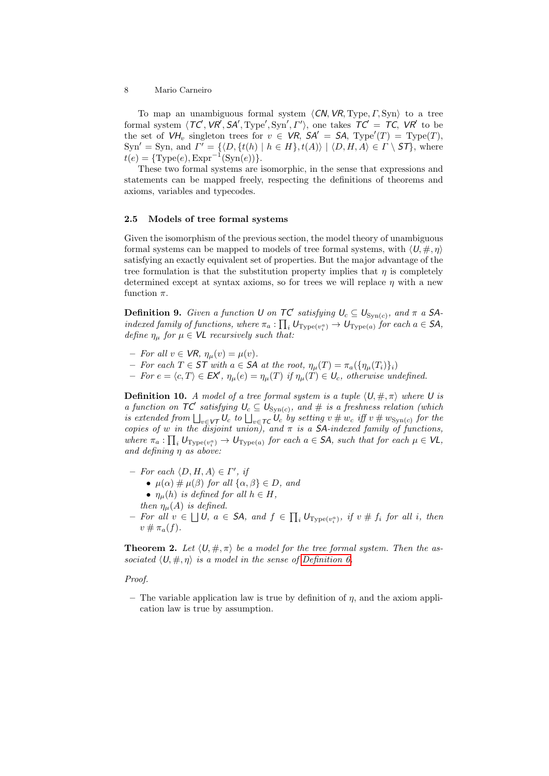To map an unambiguous formal system  $\langle CN, VR, Type, I, Syn \rangle$  to a tree formal system  $\langle TC, VR', SA', Type', \text{Syn}', \Gamma' \rangle$ , one takes  $TC' = TC$ , VR' to be the set of  $VH_v$  singleton trees for  $v \in VR$ ,  $SA' = SA$ ,  $Type'(T) = Type(T)$ ,  $\text{Sym}' = \text{Syn}, \text{ and } \Gamma' = \{ \langle D, \{t(h) \mid h \in H\}, t(A) \rangle \mid \langle D, H, A \rangle \in \Gamma \setminus \mathsf{ST} \}, \text{ where }$  $t(e) = {\text{Type}(e), \text{Expr}^{-1}(\text{Syn}(e))}.$ 

These two formal systems are isomorphic, in the sense that expressions and statements can be mapped freely, respecting the definitions of theorems and axioms, variables and typecodes.

#### <span id="page-7-0"></span>2.5 Models of tree formal systems

Given the isomorphism of the previous section, the model theory of unambiguous formal systems can be mapped to models of tree formal systems, with  $\langle U, \#, \eta \rangle$ satisfying an exactly equivalent set of properties. But the major advantage of the tree formulation is that the substitution property implies that  $\eta$  is completely determined except at syntax axioms, so for trees we will replace  $\eta$  with a new function  $\pi$ .

**Definition 9.** Given a function U on  $TC'$  satisfying  $U_c \subseteq U_{\text{Syn}(c)}$ , and  $\pi$  a SAindexed family of functions, where  $\pi_a: \prod_i U_{\text{Type}(v_i^a)} \to U_{\text{Type}(a)}$  for each  $a \in \mathsf{SA}$ , define  $\eta_{\mu}$  for  $\mu \in \mathsf{VL}$  recursively such that:

- For all  $v \in \mathsf{VR}, \eta_{\mu}(v) = \mu(v)$ .
- For each T ∈ ST with a ∈ SA at the root, ηµ(T) = πa({ηµ(Ti)}i)
- $-$  For  $e = \langle c, T \rangle \in \mathsf{EX'}$ ,  $\eta_{\mu}(e) = \eta_{\mu}(T)$  if  $\eta_{\mu}(T) \in U_c$ , otherwise undefined.

**Definition 10.** A model of a tree formal system is a tuple  $\langle U, \#, \pi \rangle$  where U is a function on  $TC$  satisfying  $U_c \subseteq U_{Sym(c)}$ , and # is a freshness relation (which is extended from  $\bigsqcup_{v\in\mathsf{VT}}\mathsf{U}_c$  to  $\bigsqcup_{v\in\mathsf{TC}}\mathsf{U}_c$  by setting  $v\mathbin{\#} w_c$  iff  $v\mathbin{\#} w_{\mathsf{Syn}(c)}$  for the copies of w in the disjoint union), and  $\pi$  is a SA-indexed family of functions, where  $\pi_a: \prod_i U_{Type(v_i^a)} \to U_{Type(a)}$  for each  $a \in SA$ , such that for each  $\mu \in VI$ , and defining η as above:

- $-$  For each  $\langle D, H, A \rangle \in \Gamma'$ , if
	- $\mu(\alpha) \neq \mu(\beta)$  for all  $\{\alpha, \beta\} \in D$ , and
	- $\eta_{\mu}(h)$  is defined for all  $h \in H$ ,
	- then  $\eta_{\mu}(A)$  is defined.
- $-$  For all  $v \in ∎$ U,  $a \in SA$ , and  $f \in ∏<sub>Type(v<sub>i</sub><sup>a</sup>)</sub>$ , if  $v \# f<sub>i</sub>$  for all i, then  $v \# \pi_a(f)$ .

**Theorem 2.** Let  $\langle U, \#, \pi \rangle$  be a model for the tree formal system. Then the associated  $\langle U, \#, \eta \rangle$  is a model in the sense of [Definition 6.](#page-5-1)

### Proof.

– The variable application law is true by definition of  $\eta$ , and the axiom application law is true by assumption.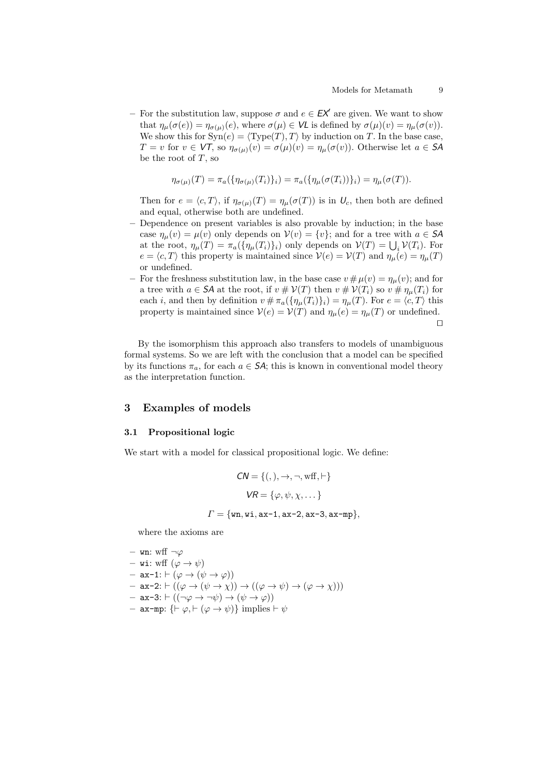– For the substitution law, suppose  $\sigma$  and  $e \in \mathbb{E} \mathbb{X}^{\prime}$  are given. We want to show that  $\eta_{\mu}(\sigma(e)) = \eta_{\sigma(\mu)}(e)$ , where  $\sigma(\mu) \in \mathsf{VL}$  is defined by  $\sigma(\mu)(v) = \eta_{\mu}(\sigma(v))$ . We show this for  $\text{Syn}(e) = \langle \text{Type}(T), T \rangle$  by induction on T. In the base case,  $T = v$  for  $v \in VT$ , so  $\eta_{\sigma(\mu)}(v) = \sigma(\mu)(v) = \eta_{\mu}(\sigma(v))$ . Otherwise let  $a \in SA$ be the root of  $T$ , so

$$
\eta_{\sigma(\mu)}(T) = \pi_a(\{\eta_{\sigma(\mu)}(T_i)\}_i) = \pi_a(\{\eta_{\mu}(\sigma(T_i))\}_i) = \eta_{\mu}(\sigma(T)).
$$

Then for  $e = \langle c, T \rangle$ , if  $\eta_{\sigma(\mu)}(T) = \eta_{\mu}(\sigma(T))$  is in  $U_c$ , then both are defined and equal, otherwise both are undefined.

- Dependence on present variables is also provable by induction; in the base case  $\eta_{\mu}(v) = \mu(v)$  only depends on  $V(v) = \{v\}$ ; and for a tree with  $a \in \mathsf{SA}$ at the root,  $\eta_{\mu}(T) = \pi_a(\{\eta_{\mu}(T_i)\}_i)$  only depends on  $\mathcal{V}(T) = \bigcup_i \mathcal{V}(T_i)$ . For  $e = \langle c, T \rangle$  this property is maintained since  $V(e) = V(T)$  and  $\eta_{\mu}(e) = \eta_{\mu}(T)$ or undefined.
- For the freshness substitution law, in the base case  $v \# \mu(v) = \eta_{\mu}(v)$ ; and for a tree with  $a \in \mathsf{SA}$  at the root, if  $v \# \mathcal{V}(T)$  then  $v \# \mathcal{V}(T_i)$  so  $v \# \eta_\mu(T_i)$  for each *i*, and then by definition  $v \# \pi_a(\{\eta_\mu(T_i)\}_i) = \eta_\mu(T)$ . For  $e = \langle c, T \rangle$  this property is maintained since  $V(e) = V(T)$  and  $\eta_{\mu}(e) = \eta_{\mu}(T)$  or undefined.  $\Box$

By the isomorphism this approach also transfers to models of unambiguous formal systems. So we are left with the conclusion that a model can be specified by its functions  $\pi_a$ , for each  $a \in S\mathcal{A}$ ; this is known in conventional model theory as the interpretation function.

### <span id="page-8-0"></span>3 Examples of models

#### <span id="page-8-1"></span>3.1 Propositional logic

We start with a model for classical propositional logic. We define:

$$
CN = \{ (, ), \rightarrow, \neg, \text{wff}, \vdash \}
$$

$$
VR = \{ \varphi, \psi, \chi, \dots \}
$$

$$
\Gamma = \{ \text{wn}, \text{wi}, \text{ax-1}, \text{ax-2}, \text{ax-3}, \text{ax-mp} \},
$$

where the axioms are

- **wn**: wff ¬*φ*  
\n- **wi**: wff (*φ* → *ψ*)  
\n- **ax**-1: ⊢ (*φ* → (*ψ* → *φ*))  
\n- **ax**-2: ⊢ ((*φ* → (*ψ* → *χ*)) → ((*φ* → *ψ*) → (*φ* → *χ*)))  
\n- **ax**-3: ⊢ ((¬*φ* → ¬*ψ*) → (*ψ* → *φ*))  
\n- **ax**-**mp**: {
$$
\vdash φ, \vdash (φ \to ψ)
$$
} implies  $\vdash ψ$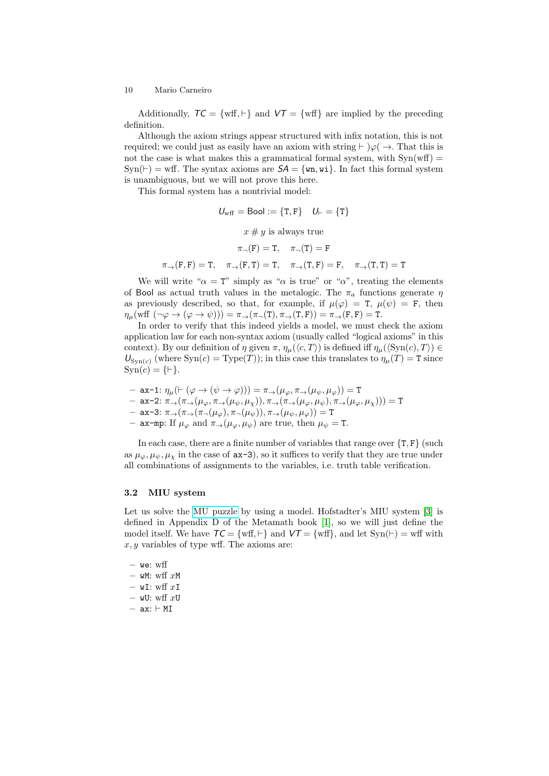Additionally,  $TC = \{ wff, \vdash \}$  and  $VT = \{ wff \}$  are implied by the preceding definition.

Although the axiom strings appear structured with infix notation, this is not required; we could just as easily have an axiom with string  $\vdash$   $\varphi$   $\rightarrow$ . That this is not the case is what makes this a grammatical formal system, with  $\text{Syn}(\text{wff}) =$  $Syn(F) = wff$ . The syntax axioms are  $SA = \{wn, wi\}$ . In fact this formal system is unambiguous, but we will not prove this here.

This formal system has a nontrivial model:

$$
U_{\text{wff}} = \text{Bool} := \{\text{T}, \text{F}\} \quad U_{\vdash} = \{\text{T}\}
$$
\n
$$
x \# y \text{ is always true}
$$
\n
$$
\pi_{\neg}(\text{F}) = \text{T}, \quad \pi_{\neg}(\text{T}) = \text{F}
$$
\n
$$
\pi_{\rightarrow}(\text{F}, \text{F}) = \text{T}, \quad \pi_{\rightarrow}(\text{T}, \text{F}) = \text{T}, \quad \pi_{\rightarrow}(\text{T}, \text{T}) = \text{T}
$$

We will write " $\alpha = T$ " simply as " $\alpha$  is true" or " $\alpha$ ", treating the elements of Bool as actual truth values in the metalogic. The  $\pi_a$  functions generate  $\eta$ as previously described, so that, for example, if  $\mu(\varphi) = T$ ,  $\mu(\psi) = F$ , then  $\eta_\mu(\text{wff }(\neg \varphi \rightarrow (\varphi \rightarrow \psi))) = \pi_\rightarrow(\pi_\neg(\texttt{T}), \pi_\rightarrow(\texttt{T}, \texttt{F})) = \pi_\rightarrow(\texttt{F}, \texttt{F}) = \texttt{T}.$ 

In order to verify that this indeed yields a model, we must check the axiom application law for each non-syntax axiom (usually called "logical axioms" in this context). By our definition of  $\eta$  given  $\pi$ ,  $\eta_{\mu}(\langle c, T \rangle)$  is defined iff  $\eta_{\mu}(\langle \text{Syn}(c), T \rangle) \in$  $U_{\text{Syn}(c)}$  (where  $\text{Syn}(c) = \text{Type}(T)$ ); in this case this translates to  $\eta_\mu(T) = T$  since  $\text{Syn}(c) = \{\vdash\}.$ 

- $-$  ax-1:  $\eta_{\mu}(\vdash (\varphi \rightarrow (\psi \rightarrow \varphi))) = \pi_{\rightarrow}(\mu_{\varphi}, \pi_{\rightarrow}(\mu_{\psi}, \mu_{\varphi})) =$  T
- $-$  ax-2:  $\pi_{\rightarrow}(\pi_{\rightarrow}(\mu_{\varphi}, \pi_{\rightarrow}(\mu_{\psi}, \mu_{\chi})), \pi_{\rightarrow}(\pi_{\rightarrow}(\mu_{\varphi}, \mu_{\psi}), \pi_{\rightarrow}(\mu_{\varphi}, \mu_{\chi}))) = T$
- ax-3: π→(π→(π¬(µϕ), π¬(µψ)), π→(µψ, µϕ)) = T
- ax-mp: If  $\mu_{\varphi}$  and  $\pi_{\rightarrow}(\mu_{\varphi}, \mu_{\psi})$  are true, then  $\mu_{\psi} = T$ .

In each case, there are a finite number of variables that range over  $\{T, F\}$  (such as  $\mu_{\varphi}, \mu_{\psi}, \mu_{\gamma}$  in the case of  $ax-3$ , so it suffices to verify that they are true under all combinations of assignments to the variables, i.e. truth table verification.

### <span id="page-9-0"></span>3.2 MIU system

Let us solve the [MU puzzle](https://en.wikipedia.org/wiki/MU_puzzle) by using a model. Hofstadter's MIU system [\[3\]](#page-16-2) is defined in Appendix D of the Metamath book [\[1\]](#page-16-0), so we will just define the model itself. We have  $TC = \{ wff, \vdash \}$  and  $VT = \{ wff \}$ , and let  $Syn(\vdash) = wff$  with  $x, y$  variables of type wff. The axioms are:

 $-$  we: wff  $-$  wM: wff xM  $-$  wI: wff  $xI$ – wU: wff  $xU$  $-$  ax:  $\vdash$  MI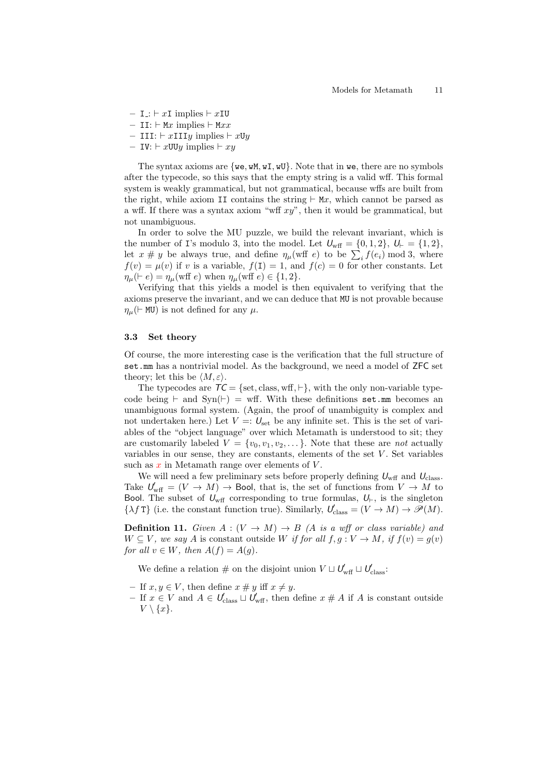–  $I = \bot : \vdash xI$  implies  $\vdash xI$ U

– II:  $\vdash$  Mx implies  $\vdash$  Mxx

– III:  $\vdash x$ IIIy implies  $\vdash x$ Uy

– IV:  $\vdash x$ UUy implies  $\vdash xy$ 

The syntax axioms are  $\{we, wM, wI, wU\}$ . Note that in we, there are no symbols after the typecode, so this says that the empty string is a valid wff. This formal system is weakly grammatical, but not grammatical, because wffs are built from the right, while axiom II contains the string  $\vdash$  Mx, which cannot be parsed as a wff. If there was a syntax axiom "wff  $xy$ ", then it would be grammatical, but not unambiguous.

In order to solve the MU puzzle, we build the relevant invariant, which is the number of I's modulo 3, into the model. Let  $U_{\text{wff}} = \{0, 1, 2\}, U_{\text{F}} = \{1, 2\},$ let  $x \# y$  be always true, and define  $\eta_{\mu}(\text{wff } e)$  to be  $\sum_i f(e_i) \text{ mod } 3$ , where  $f(v) = \mu(v)$  if v is a variable,  $f(1) = 1$ , and  $f(c) = 0$  for other constants. Let  $\eta_{\mu}(\vdash e) = \eta_{\mu}(\text{wff } e)$  when  $\eta_{\mu}(\text{wff } e) \in \{1, 2\}.$ 

Verifying that this yields a model is then equivalent to verifying that the axioms preserve the invariant, and we can deduce that MU is not provable because  $\eta_{\mu}$ ( $\vdash$  MU) is not defined for any  $\mu$ .

### 3.3 Set theory

Of course, the more interesting case is the verification that the full structure of set.mm has a nontrivial model. As the background, we need a model of ZFC set theory; let this be  $\langle M, \varepsilon \rangle$ .

The typecodes are  $TC = \{set, class, wff, \vdash\}$ , with the only non-variable typecode being  $\vdash$  and Syn( $\vdash$ ) = wff. With these definitions set.mm becomes an unambiguous formal system. (Again, the proof of unambiguity is complex and not undertaken here.) Let  $V =: U<sub>set</sub>$  be any infinite set. This is the set of variables of the "object language" over which Metamath is understood to sit; they are customarily labeled  $V = \{v_0, v_1, v_2, \dots\}$ . Note that these are not actually variables in our sense, they are constants, elements of the set  $V$ . Set variables such as  $x$  in Metamath range over elements of  $V$ .

We will need a few preliminary sets before properly defining  $U_{\text{wff}}$  and  $U_{\text{class}}$ . Take  $U_{\text{wff}} = (V \to M) \to$  Bool, that is, the set of functions from  $V \to M$  to Bool. The subset of  $U_{\text{wff}}$  corresponding to true formulas,  $U_{\vdash}$ , is the singleton  $\{\lambda f \mathsf{T}\}\$  (i.e. the constant function true). Similarly,  $\mathcal{U}'_{\text{class}} = (V \to M) \to \mathscr{P}(M)$ .

**Definition 11.** Given  $A: (V \rightarrow M) \rightarrow B$  (A is a wff or class variable) and  $W \subseteq V$ , we say A is constant outside W if for all  $f, g: V \to M$ , if  $f(v) = g(v)$ for all  $v \in W$ , then  $A(f) = A(g)$ .

We define a relation  $\#$  on the disjoint union  $V \sqcup U'_{\text{wff}} \sqcup U'_{\text{class}}$ :

- If  $x, y \in V$ , then define  $x \neq y$  iff  $x \neq y$ .
- If  $x \in V$  and  $A \in U'_{\text{class}} \sqcup U'_{\text{wff}}$ , then define  $x \# A$  if A is constant outside  $V \setminus \{x\}.$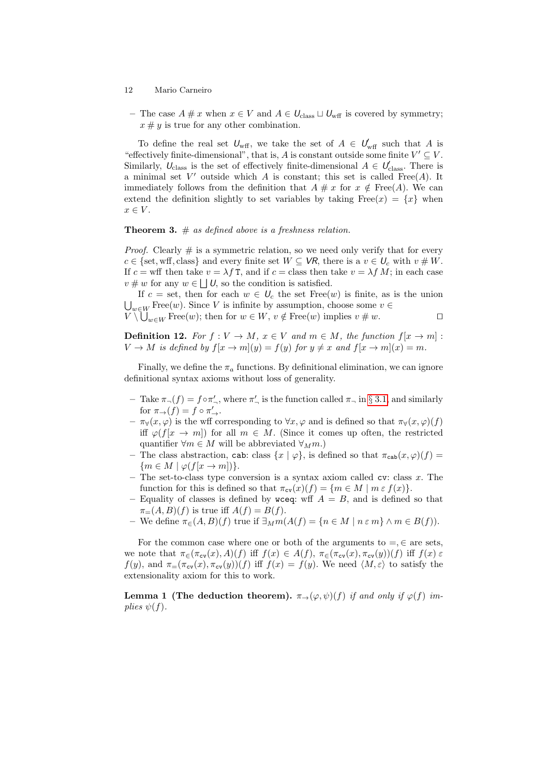- 12 Mario Carneiro
- The case  $A \# x$  when  $x \in V$  and  $A \in U_{\text{class}} \sqcup U_{\text{wff}}$  is covered by symmetry;  $x \# y$  is true for any other combination.

To define the real set  $U_{\text{wff}}$ , we take the set of  $A \in U_{\text{wff}}$  such that A is "effectively finite-dimensional", that is, A is constant outside some finite  $V' \subseteq V$ . Similarly,  $U_{\text{class}}$  is the set of effectively finite-dimensional  $A \in U'_{\text{class}}$ . There is a minimal set  $V'$  outside which A is constant; this set is called Free(A). It immediately follows from the definition that  $A \# x$  for  $x \notin \text{Free}(A)$ . We can extend the definition slightly to set variables by taking  $Free(x) = \{x\}$  when  $x \in V$ .

**Theorem 3.**  $#$  as defined above is a freshness relation.

*Proof.* Clearly  $\#$  is a symmetric relation, so we need only verify that for every  $c \in \{\text{set}, \text{wff}, \text{class}\}\$ and every finite set  $W \subseteq \mathsf{VR}$ , there is a  $v \in U_c$  with  $v \# W$ . If  $c = \text{wff}$  then take  $v = \lambda f \text{T}$ , and if  $c = \text{class}$  then take  $v = \lambda f M$ ; in each case  $v \# w$  for any  $w \in \bigsqcup U$ , so the condition is satisfied.

If c = set, then for each  $w \in U_c$  the set Free(w) is finite, as is the union  $\bigcup_{w \in W}$  Free $(w)$ . Since V is infinite by assumption, choose some  $v \in$  $V \setminus \bigcup_{w \in W} \text{Free}(w)$ ; then for  $w \in W$ ,  $v \notin \text{Free}(w)$  implies  $v \neq w$ .

**Definition 12.** For  $f: V \to M$ ,  $x \in V$  and  $m \in M$ , the function  $f[x \to m]$ :  $V \to M$  is defined by  $f(x \to m)(y) = f(y)$  for  $y \neq x$  and  $f(x \to m)(x) = m$ .

Finally, we define the  $\pi_a$  functions. By definitional elimination, we can ignore definitional syntax axioms without loss of generality.

- $-$  Take  $\pi(x) = f ∘ π'_x$ , where  $\pi'_x$  is the function called  $\pi_x$  in § [3.1,](#page-8-1) and similarly for  $\pi_{\rightarrow}(f) = f \circ \pi'_{\rightarrow}$ .
- $-\pi_{\forall}(x,\varphi)$  is the wff corresponding to  $\forall x,\varphi$  and is defined so that  $\pi_{\forall}(x,\varphi)(f)$ iff  $\varphi(f[x \to m])$  for all  $m \in M$ . (Since it comes up often, the restricted quantifier  $\forall m \in M$  will be abbreviated  $\forall_M m$ .)
- The class abstraction, cab: class  $\{x \mid \varphi\}$ , is defined so that  $\pi_{\text{cab}}(x, \varphi)(f) =$  ${m \in M \mid \varphi(f[x \to m])}.$
- The set-to-class type conversion is a syntax axiom called  $cv:$  class x. The function for this is defined so that  $\pi_{cv}(x)(f) = \{m \in M \mid m \in f(x)\}.$
- Equality of classes is defined by wceq: wff  $A = B$ , and is defined so that  $\pi_{=}(\mathcal{A},\mathcal{B})(f)$  is true iff  $\mathcal{A}(f)=\mathcal{B}(f)$ .
- We define  $\pi_{\in}(A, B)(f)$  true if  $\exists_{M} m(A(f) = \{n \in M \mid n \in m\} \wedge m \in B(f)).$

For the common case where one or both of the arguments to  $=$ ,  $\in$  are sets, we note that  $\pi_{\infty}(\pi_{\text{cv}}(x), A)(f)$  iff  $f(x) \in A(f)$ ,  $\pi_{\infty}(\pi_{\text{cv}}(x), \pi_{\text{cv}}(y))(f)$  iff  $f(x) \in$  $f(y)$ , and  $\pi=(\pi_{\text{cv}}(x), \pi_{\text{cv}}(y))(f)$  iff  $f(x) = f(y)$ . We need  $\langle M, \varepsilon \rangle$  to satisfy the extensionality axiom for this to work.

<span id="page-11-0"></span>Lemma 1 (The deduction theorem).  $\pi_{\rightarrow}(\varphi,\psi)(f)$  if and only if  $\varphi(f)$  implies  $\psi(f)$ .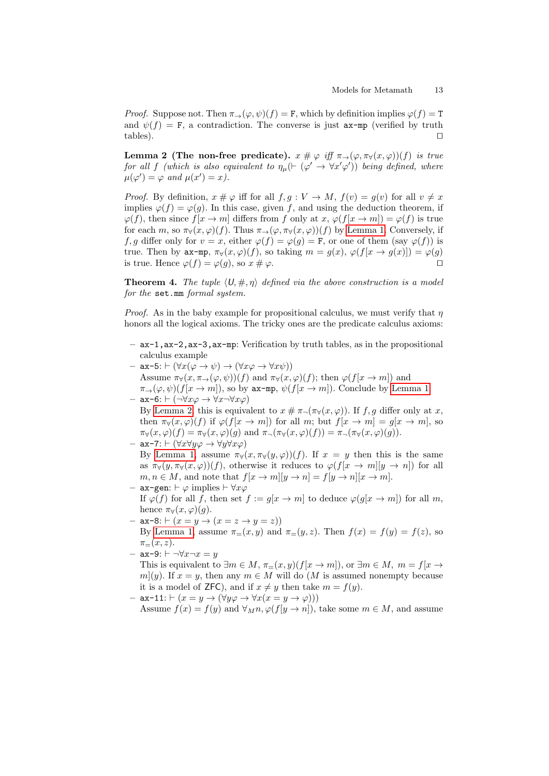*Proof.* Suppose not. Then  $\pi_{\rightarrow}(\varphi, \psi)(f) = \mathbf{F}$ , which by definition implies  $\varphi(f) = \mathbf{T}$ and  $\psi(f) = F$ , a contradiction. The converse is just  $ax-mp$  (verified by truth tables).

<span id="page-12-1"></span>Lemma 2 (The non-free predicate).  $x \# \varphi \text{ iff } \pi_{\rightarrow}(\varphi, \pi_{\forall}(x, \varphi))(f)$  is true for all f (which is also equivalent to  $\eta_{\mu}(\vdash (\varphi' \rightarrow \forall x' \varphi'))$  being defined, where  $\mu(\varphi') = \varphi$  and  $\mu(x') = x$ ).

*Proof.* By definition,  $x \# \varphi$  iff for all  $f, g: V \to M$ ,  $f(v) = g(v)$  for all  $v \neq x$ implies  $\varphi(f) = \varphi(g)$ . In this case, given f, and using the deduction theorem, if  $\varphi(f)$ , then since  $f(x \to m]$  differs from f only at  $x, \varphi(f(x \to m)) = \varphi(f)$  is true for each m, so  $\pi_{\forall}(x,\varphi)(f)$ . Thus  $\pi_{\rightarrow}(\varphi,\pi_{\forall}(x,\varphi))(f)$  by [Lemma 1.](#page-11-0) Conversely, if f, g differ only for  $v = x$ , either  $\varphi(f) = \varphi(g) = \mathbf{F}$ , or one of them (say  $\varphi(f)$ ) is true. Then by  $ax-mp$ ,  $\pi_\forall(x,\varphi)(f)$ , so taking  $m = g(x), \varphi(f[x \to g(x)]) = \varphi(g)$ is true. Hence  $\varphi(f) = \varphi(g)$ , so  $x \neq \varphi$ .

<span id="page-12-0"></span>**Theorem 4.** The tuple  $\langle U, \#, \eta \rangle$  defined via the above construction is a model for the set.mm formal system.

*Proof.* As in the baby example for propositional calculus, we must verify that  $\eta$ honors all the logical axioms. The tricky ones are the predicate calculus axioms:

- ax-1,ax-2,ax-3,ax-mp: Verification by truth tables, as in the propositional calculus example
- $-$  ax-5:  $\vdash (\forall x(\varphi \rightarrow \psi) \rightarrow (\forall x \varphi \rightarrow \forall x \psi))$ Assume  $\pi_{\forall}(x, \pi_{\rightarrow}(\varphi, \psi))(f)$  and  $\pi_{\forall}(x, \varphi)(f)$ ; then  $\varphi(f[x \rightarrow m])$  and  $\pi_{\rightarrow}(\varphi,\psi)(f[x\rightarrow m])$ , so by ax-mp,  $\psi(f[x\rightarrow m])$ . Conclude by [Lemma 1.](#page-11-0)
- ax-6:  $\vdash (\neg \forall x \varphi \rightarrow \forall x \neg \forall x \varphi)$ By [Lemma 2,](#page-12-1) this is equivalent to  $x \# \pi_{\neg}(\pi_{\forall}(x, \varphi))$ . If f, q differ only at x, then  $\pi_{\forall}(x,\varphi)(f)$  if  $\varphi(f[x \to m])$  for all m; but  $f[x \to m] = g[x \to m]$ , so  $\pi_{\forall}(x,\varphi)(f) = \pi_{\forall}(x,\varphi)(g)$  and  $\pi_{\neg}(\pi_{\forall}(x,\varphi)(f)) = \pi_{\neg}(\pi_{\forall}(x,\varphi)(g)).$
- ax-7:  $\vdash (\forall x \forall y \varphi \rightarrow \forall y \forall x \varphi)$ By [Lemma 1,](#page-11-0) assume  $\pi_{\forall}(x, \pi_{\forall}(y, \varphi))(f)$ . If  $x = y$  then this is the same as  $\pi_{\forall}(y, \pi_{\forall}(x, \varphi))(f)$ , otherwise it reduces to  $\varphi(f|x \to m|y \to n)$  for all  $m, n \in M$ , and note that  $f[x \to m][y \to n] = f[y \to n][x \to m]$ .
- ax-gen:  $\vdash$   $\varphi$  implies  $\vdash \forall x \varphi$ If  $\varphi(f)$  for all f, then set  $f := g[x \to m]$  to deduce  $\varphi(g[x \to m])$  for all m, hence  $\pi_{\forall}(x,\varphi)(q)$ .
- $-$  ax-8:  $\vdash$   $(x = y \rightarrow (x = z \rightarrow y = z))$ By [Lemma 1,](#page-11-0) assume  $\pi_=(x, y)$  and  $\pi_=(y, z)$ . Then  $f(x) = f(y) = f(z)$ , so  $\pi_-(x, z)$ .
- $-$  ax-9:  $\vdash \neg \forall x \neg x = y$

This is equivalent to  $\exists m \in M$ ,  $\pi_{=} (x, y)(f[x \to m])$ , or  $\exists m \in M$ ,  $m = f[x \to m]$  $m(y)$ . If  $x = y$ , then any  $m \in M$  will do (M is assumed nonempty because it is a model of **ZFC**), and if  $x \neq y$  then take  $m = f(y)$ .

– ax-11:  $\vdash$  ( $x = y \rightarrow (\forall y \varphi \rightarrow \forall x (x = y \rightarrow \varphi)))$ Assume  $f(x) = f(y)$  and  $\forall_M n, \varphi(f[y \to n])$ , take some  $m \in M$ , and assume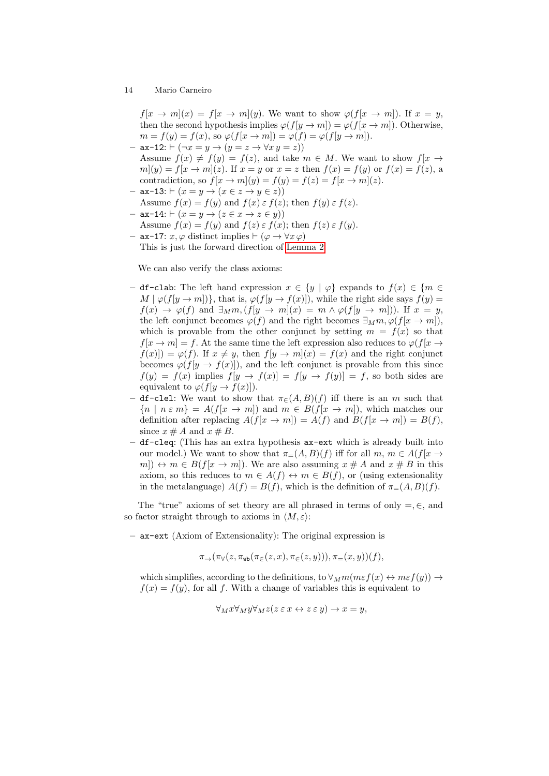$f[x \to m](x) = f[x \to m](y)$ . We want to show  $\varphi(f[x \to m])$ . If  $x = y$ , then the second hypothesis implies  $\varphi(f[y \to m]) = \varphi(f[x \to m])$ . Otherwise,  $m = f(y) = f(x)$ , so  $\varphi(f[x \rightarrow m]) = \varphi(f) = \varphi(f[y \rightarrow m])$ .  $-$  ax-12:  $\vdash (\neg x = y \rightarrow (y = z \rightarrow \forall x \ y = z))$ 

- Assume  $f(x) \neq f(y) = f(z)$ , and take  $m \in M$ . We want to show  $f(x) \rightarrow f(y)$  $m(y) = f(x \rightarrow m)(z)$ . If  $x = y$  or  $x = z$  then  $f(x) = f(y)$  or  $f(x) = f(z)$ , a contradiction, so  $f(x \to m](y) = f(y) = f(z) = f(x \to m](z)$ .
- $-$  ax-13:  $\vdash (x = y \rightarrow (x \in z \rightarrow y \in z))$ Assume  $f(x) = f(y)$  and  $f(x) \in f(z)$ ; then  $f(y) \in f(z)$ .
- ax-14:  $\vdash (x = y \rightarrow (z \in x \rightarrow z \in y))$ Assume  $f(x) = f(y)$  and  $f(z) \in f(x)$ ; then  $f(z) \in f(y)$ .
- ax−17:  $x, \varphi$  distinct implies  $\vdash$  ( $\varphi \rightarrow \forall x \varphi$ ) This is just the forward direction of [Lemma 2.](#page-12-1)

We can also verify the class axioms:

- df-clab: The left hand expression x ∈ {y | ϕ} expands to f(x) ∈ {m ∈  $M | \varphi(f[y \to m])\},\$  that is,  $\varphi(f[y \to f(x)]),\$  while the right side says  $f(y) =$  $f(x) \rightarrow \varphi(f)$  and  $\exists_M m, (f[y \rightarrow m](x) = m \wedge \varphi(f[y \rightarrow m]))$ . If  $x = y$ , the left conjunct becomes  $\varphi(f)$  and the right becomes  $\exists_M m, \varphi(f[x \to m]),$ which is provable from the other conjunct by setting  $m = f(x)$  so that  $f[x \to m] = f$ . At the same time the left expression also reduces to  $\varphi(f|x \to m])$  $f(x)| = \varphi(f)$ . If  $x \neq y$ , then  $f[y \to m](x) = f(x)$  and the right conjunct becomes  $\varphi(f[y \to f(x)])$ , and the left conjunct is provable from this since  $f(y) = f(x)$  implies  $f[y \to f(x)] = f[y \to f(y)] = f$ , so both sides are equivalent to  $\varphi(f[y \to f(x)]).$
- df-clel: We want to show that  $\pi_{\epsilon}(A, B)(f)$  iff there is an m such that  ${n \mid n \in m} = A(f[x \to m])$  and  $m \in B(f[x \to m])$ , which matches our definition after replacing  $A(f[x \to m]) = A(f)$  and  $B(f[x \to m]) = B(f)$ , since  $x \# A$  and  $x \# B$ .
- df-cleq: (This has an extra hypothesis ax-ext which is already built into our model.) We want to show that  $\pi_=(A, B)(f)$  iff for all  $m, m \in A(f|x \to a)$  $m$ )  $\leftrightarrow$   $m \in B(f[x \to m])$ . We are also assuming  $x \# A$  and  $x \# B$  in this axiom, so this reduces to  $m \in A(f) \leftrightarrow m \in B(f)$ , or (using extensionality in the metalanguage)  $A(f) = B(f)$ , which is the definition of  $\pi_{=} (A, B)(f)$ .

The "true" axioms of set theory are all phrased in terms of only  $=$ ,  $\in$ , and so factor straight through to axioms in  $\langle M, \varepsilon \rangle$ :

– ax-ext (Axiom of Extensionality): The original expression is

$$
\pi_{\rightarrow}(\pi_{\forall}(z,\pi_{\text{wb}}(\pi_{\in}(z,x),\pi_{\in}(z,y))),\pi_{=}(x,y))(f),
$$

which simplifies, according to the definitions, to  $\forall_M m(m \epsilon f(x) \leftrightarrow m \epsilon f(y)) \rightarrow$  $f(x) = f(y)$ , for all f. With a change of variables this is equivalent to

$$
\forall_M x \forall_M y \forall_M z (z \in x \leftrightarrow z \in y) \rightarrow x = y,
$$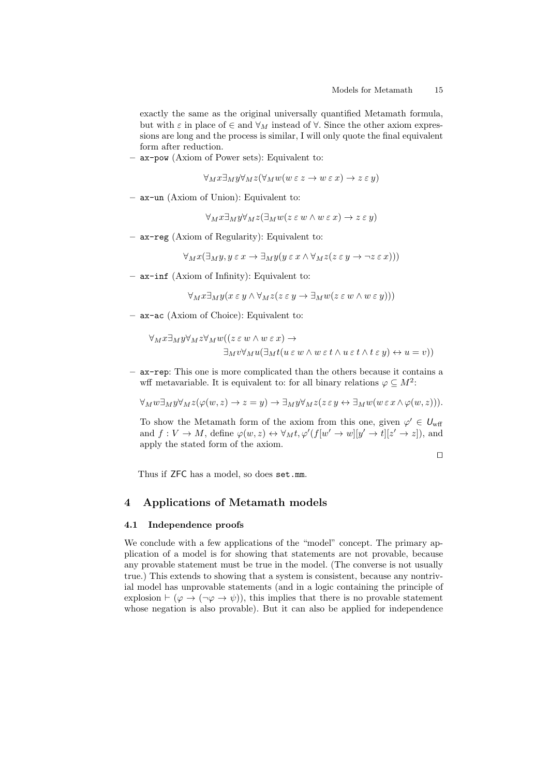exactly the same as the original universally quantified Metamath formula, but with  $\varepsilon$  in place of  $\in$  and  $\forall_M$  instead of  $\forall$ . Since the other axiom expressions are long and the process is similar, I will only quote the final equivalent form after reduction.

– ax-pow (Axiom of Power sets): Equivalent to:

$$
\forall_M x \exists_M y \forall_M z (\forall_M w (w \in z \to w \in x) \to z \in y)
$$

– ax-un (Axiom of Union): Equivalent to:

 $\forall_M x \exists_M y \forall_M z (\exists_M w (z \in w \land w \in x) \rightarrow z \in y)$ 

– ax-reg (Axiom of Regularity): Equivalent to:

$$
\forall_M x (\exists_M y, y \in x \to \exists_M y (y \in x \land \forall_M z (z \in y \to \neg z \in x)))
$$

– ax-inf (Axiom of Infinity): Equivalent to:

$$
\forall_M x \exists_M y (x \in y \land \forall_M z (z \in y \to \exists_M w (z \in w \land w \in y)))
$$

– ax-ac (Axiom of Choice): Equivalent to:

$$
\forall_M x \exists_M y \forall_M z \forall_M w ((z \in w \land w \in x) \rightarrow
$$
  

$$
\exists_M v \forall_M u (\exists_M t (u \in w \land w \in t \land u \in t \land t \in y) \leftrightarrow u = v))
$$

– ax-rep: This one is more complicated than the others because it contains a wff metavariable. It is equivalent to: for all binary relations  $\varphi \subseteq M^2$ :

$$
\forall_M w \exists_M y \forall_M z (\varphi(w, z) \to z = y) \to \exists_M y \forall_M z (z \in y \leftrightarrow \exists_M w (w \in x \land \varphi(w, z))).
$$

To show the Metamath form of the axiom from this one, given  $\varphi' \in U_{\text{wff}}$ and  $f: V \to M$ , define  $\varphi(w, z) \leftrightarrow \forall_M t, \varphi'(f[w' \to w][y' \to t][z' \to z])$ , and apply the stated form of the axiom.

$$
\qquad \qquad \Box
$$

Thus if ZFC has a model, so does set.mm.

## <span id="page-14-0"></span>4 Applications of Metamath models

### <span id="page-14-1"></span>4.1 Independence proofs

We conclude with a few applications of the "model" concept. The primary application of a model is for showing that statements are not provable, because any provable statement must be true in the model. (The converse is not usually true.) This extends to showing that a system is consistent, because any nontrivial model has unprovable statements (and in a logic containing the principle of explosion  $\vdash (\varphi \rightarrow (\neg \varphi \rightarrow \psi))$ , this implies that there is no provable statement whose negation is also provable). But it can also be applied for independence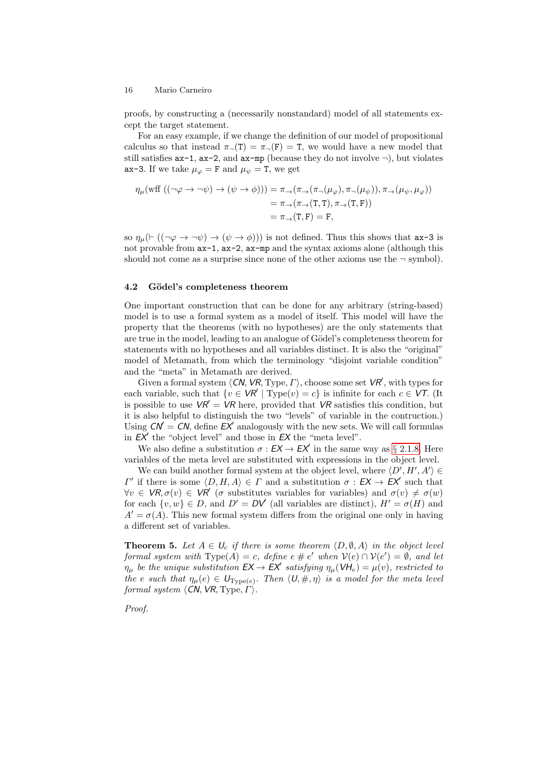proofs, by constructing a (necessarily nonstandard) model of all statements except the target statement.

For an easy example, if we change the definition of our model of propositional calculus so that instead  $\pi(\text{T}) = \pi(\text{F}) = \text{T}$ , we would have a new model that still satisfies  $ax-1$ ,  $ax-2$ , and  $ax-mp$  (because they do not involve  $\neg$ ), but violates ax-3. If we take  $\mu_{\varphi} = F$  and  $\mu_{\psi} = T$ , we get

$$
\eta_{\mu}(\text{wff }((\neg \varphi \to \neg \psi) \to (\psi \to \phi))) = \pi_{\to}(\pi_{\to}(\pi_{\to}(\mu_{\varphi}), \pi_{\to}(\mu_{\psi})), \pi_{\to}(\mu_{\psi}, \mu_{\varphi}))
$$
  
=  $\pi_{\to}(\pi_{\to}(\mathbf{T}, \mathbf{T}), \pi_{\to}(\mathbf{T}, \mathbf{F}))$   
=  $\pi_{\to}(\mathbf{T}, \mathbf{F}) = \mathbf{F},$ 

so  $\eta_{\mu}(\vdash ((\neg \varphi \rightarrow \neg \psi) \rightarrow (\psi \rightarrow \phi)))$  is not defined. Thus this shows that  $ax-3$  is not provable from  $ax-1$ ,  $ax-2$ ,  $ax-mp$  and the syntax axioms alone (although this should not come as a surprise since none of the other axioms use the  $\neg$  symbol).

### <span id="page-15-0"></span>4.2 Gödel's completeness theorem

One important construction that can be done for any arbitrary (string-based) model is to use a formal system as a model of itself. This model will have the property that the theorems (with no hypotheses) are the only statements that are true in the model, leading to an analogue of Gödel's completeness theorem for statements with no hypotheses and all variables distinct. It is also the "original" model of Metamath, from which the terminology "disjoint variable condition" and the "meta" in Metamath are derived.

Given a formal system  $\langle CN, VR, Type, I \rangle$ , choose some set  $VR'$ , with types for each variable, such that  $\{v \in \mathsf{VR'} \mid \text{Type}(v) = c\}$  is infinite for each  $c \in \mathsf{VT}$ . (It is possible to use  $\mathsf{VR}' = \mathsf{VR}$  here, provided that  $\mathsf{VR}$  satisfies this condition, but it is also helpful to distinguish the two "levels" of variable in the contruction.) Using  $CN = CN$ , define  $EX'$  analogously with the new sets. We will call formulas in  $EX'$  the "object level" and those in  $EX$  the "meta level".

We also define a substitution  $\sigma : EX \to EX'$  in the same way as § [2.1.8.](#page-2-1) Here variables of the meta level are substituted with expressions in the object level.

We can build another formal system at the object level, where  $\langle D', H', A' \rangle \in$  $\Gamma'$  if there is some  $\langle D, H, A \rangle \in \Gamma$  and a substitution σ : **EX** → **EX'** such that  $\forall v \in \mathcal{VR}, \sigma(v) \in \mathcal{VR}'$  ( $\sigma$  substitutes variables for variables) and  $\sigma(v) \neq \sigma(w)$ for each  $\{v, w\} \in D$ , and  $D' = D\mathcal{V}$  (all variables are distinct),  $H' = \sigma(H)$  and  $A' = \sigma(A)$ . This new formal system differs from the original one only in having a different set of variables.

<span id="page-15-1"></span>**Theorem 5.** Let  $A \in \mathcal{U}_c$  if there is some theorem  $\langle D, \emptyset, A \rangle$  in the object level formal system with  $Type(A) = c$ , define  $e \neq e'$  when  $V(e) \cap V(e') = \emptyset$ , and let  $\eta_{\mu}$  be the unique substitution  $EX \to EX'$  satisfying  $\eta_{\mu}(VH_v) = \mu(v)$ , restricted to the e such that  $\eta_{\mu}(e) \in U_{Type(e)}$ . Then  $\langle U, \#, \eta \rangle$  is a model for the meta level formal system  $\langle CN, VR, Type, \Gamma \rangle$ .

Proof.